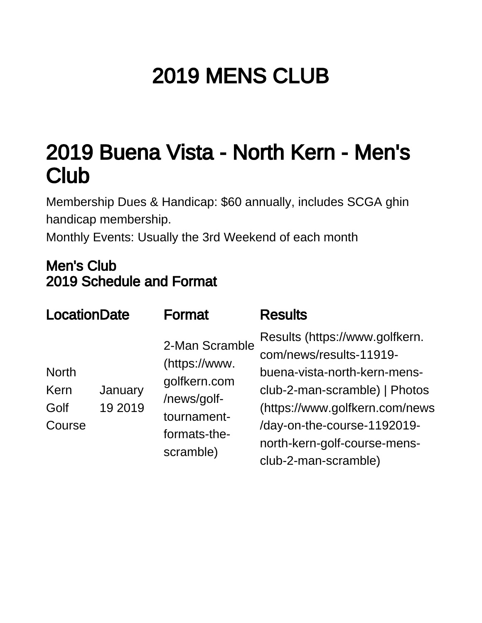## 2019 MENS CLUB

## 2019 Buena Vista - North Kern - Men's **Club**

Membership Dues & Handicap: \$60 annually, includes SCGA ghin handicap membership.

Monthly Events: Usually the 3rd Weekend of each month

## Men's Club 2019 Schedule and Format

| <b>LocationDate</b>                                          | <b>Format</b>                                                                                              | <b>Results</b>                                                                                                                                                                                                                                      |
|--------------------------------------------------------------|------------------------------------------------------------------------------------------------------------|-----------------------------------------------------------------------------------------------------------------------------------------------------------------------------------------------------------------------------------------------------|
| <b>North</b><br>January<br>Kern<br>19 2019<br>Golf<br>Course | 2-Man Scramble<br>(https://www.<br>golfkern.com<br>/news/golf-<br>tournament-<br>formats-the-<br>scramble) | Results (https://www.golfkern.<br>com/news/results-11919-<br>buena-vista-north-kern-mens-<br>club-2-man-scramble)   Photos<br>(https://www.golfkern.com/news<br>/day-on-the-course-1192019-<br>north-kern-golf-course-mens-<br>club-2-man-scramble) |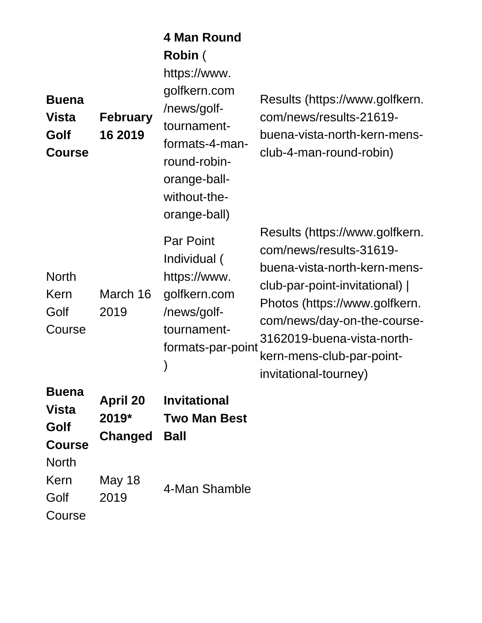| <b>Buena</b><br><b>Vista</b><br>Golf<br><b>Course</b> | <b>February</b><br>16 2019                 | 4 Man Round<br>Robin (<br>https://www.<br>golfkern.com<br>/news/golf-<br>tournament-<br>formats-4-man-<br>round-robin-<br>orange-ball-<br>without-the-<br>orange-ball) | Results (https://www.golfkern.<br>com/news/results-21619-<br>buena-vista-north-kern-mens-<br>club-4-man-round-robin)                                                                                                                                                            |
|-------------------------------------------------------|--------------------------------------------|------------------------------------------------------------------------------------------------------------------------------------------------------------------------|---------------------------------------------------------------------------------------------------------------------------------------------------------------------------------------------------------------------------------------------------------------------------------|
| <b>North</b><br>Kern<br>Golf<br>Course                | March 16<br>2019                           | <b>Par Point</b><br>Individual (<br>https://www.<br>golfkern.com<br>/news/golf-<br>tournament-<br>formats-par-point                                                    | Results (https://www.golfkern.<br>com/news/results-31619-<br>buena-vista-north-kern-mens-<br>club-par-point-invitational)  <br>Photos (https://www.golfkern.<br>com/news/day-on-the-course-<br>3162019-buena-vista-north-<br>kern-mens-club-par-point-<br>invitational-tourney) |
| <b>Buena</b><br>Vista<br>Golf<br><b>Course</b>        | <b>April 20</b><br>2019*<br><b>Changed</b> | <b>Invitational</b><br><b>Two Man Best</b><br><b>Ball</b>                                                                                                              |                                                                                                                                                                                                                                                                                 |
| <b>North</b><br>Kern<br>Golf<br>Course                | May 18<br>2019                             | 4-Man Shamble                                                                                                                                                          |                                                                                                                                                                                                                                                                                 |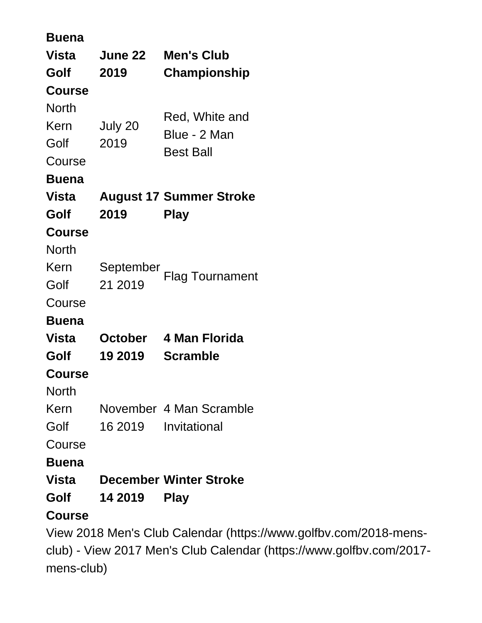| <b>Buena</b>                             |                |                                |  |  |
|------------------------------------------|----------------|--------------------------------|--|--|
| Vista                                    | <b>June 22</b> | <b>Men's Club</b>              |  |  |
| Golf                                     | 2019           | Championship                   |  |  |
| <b>Course</b>                            |                |                                |  |  |
| <b>North</b>                             |                | Red, White and                 |  |  |
| Kern                                     | July 20        | Blue - 2 Man                   |  |  |
| Golf                                     | 2019           | <b>Best Ball</b>               |  |  |
| Course                                   |                |                                |  |  |
| <b>Buena</b>                             |                |                                |  |  |
| Vista                                    |                | <b>August 17 Summer Stroke</b> |  |  |
| Golf                                     | 2019           | <b>Play</b>                    |  |  |
| <b>Course</b>                            |                |                                |  |  |
| <b>North</b>                             |                |                                |  |  |
| Kern                                     | September      | <b>Flag Tournament</b>         |  |  |
| Golf                                     | 21 2019        |                                |  |  |
| Course                                   |                |                                |  |  |
| <b>Buena</b>                             |                |                                |  |  |
| Vista                                    | October        | 4 Man Florida                  |  |  |
| Golf                                     | 19 2019        | <b>Scramble</b>                |  |  |
| <b>Course</b>                            |                |                                |  |  |
| North                                    |                |                                |  |  |
| Kern                                     |                | November 4 Man Scramble        |  |  |
| Golf                                     | 16 2019        | Invitational                   |  |  |
| Course                                   |                |                                |  |  |
| <b>Buena</b>                             |                |                                |  |  |
| Vista                                    |                | <b>December Winter Stroke</b>  |  |  |
| Golf                                     | 14 2019        | <b>Play</b>                    |  |  |
| <b>Course</b>                            |                |                                |  |  |
| View 2018 Men's Club Calendar (https://\ |                |                                |  |  |

www.golfbv.com/2018-mens[club\)](https://www.golfbv.com/2018-mens-club) - [View 2017 Men's Club Calendar \(https://www.golfbv.com/2017](https://www.golfbv.com/2017-mens-club) [mens-club\)](https://www.golfbv.com/2017-mens-club)